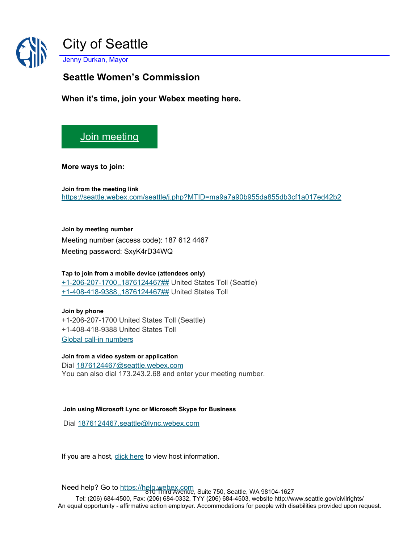

**Seattle Women's Commission**

**When it's time, join your Webex meeting here.** 

## [Join meeting](https://seattle.webex.com/seattle/j.php?MTID=ma9a7a90b955da855db3cf1a017ed42b2)

**More ways to join:** 

**Join from the meeting link**  <https://seattle.webex.com/seattle/j.php?MTID=ma9a7a90b955da855db3cf1a017ed42b2>

**Join by meeting number**  Meeting number (access code): 187 612 4467 Meeting password: SxyK4rD34WQ

**Tap to join from a mobile device (attendees only)** [+1-206-207-1700,,1876124467##](tel:%2B1-206-207-1700,,*01*1876124467%23%23*01*) United States Toll (Seattle) [+1-408-418-9388,,1876124467##](tel:%2B1-408-418-9388,,*01*1876124467%23%23*01*) United States Toll

## **Join by phone** +1-206-207-1700 United States Toll (Seattle) +1-408-418-9388 United States Toll [Global call-in numbers](https://seattle.webex.com/seattle/globalcallin.php?MTID=mc5d6dd9c40639a989d6fe8f31d012dc8)

**Join from a video system or application** Dial [1876124467@seattle.webex.com](sip:1876124467@seattle.webex.com) You can also dial 173.243.2.68 and enter your meeting number.

## **Join using Microsoft Lync or Microsoft Skype for Business**

Dial [1876124467.seattle@lync.webex.com](sip:1876124467.seattle@lync.webex.com)

If you are a host, [click here](https://seattle.webex.com/seattle/j.php?MTID=m7f1b60fdf769d7c6d763e2fe1a7c5ad7) to view host information.

Need help? Go to <u>https://help.webex.com</u><br>1610 Third Avenue, Suite 750, Seattle, WA 98104-1627